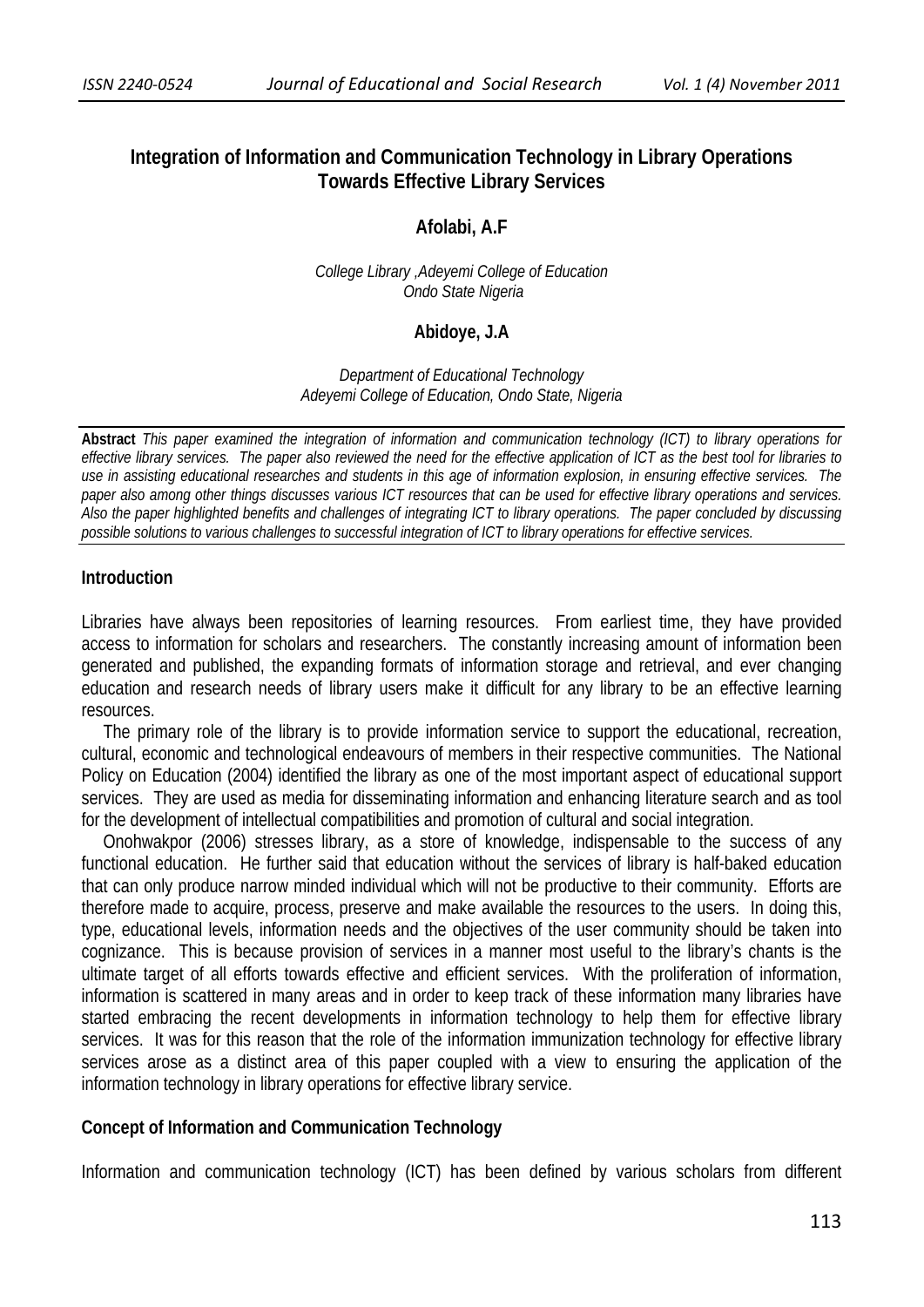# **Integration of Information and Communication Technology in Library Operations Towards Effective Library Services**

#### **Afolabi, A.F**

*College Library ,Adeyemi College of Education Ondo State Nigeria*

#### **Abidoye, J.A**

*Department of Educational Technology Adeyemi College of Education, Ondo State, Nigeria* 

**Abstract** *This paper examined the integration of information and communication technology (ICT) to library operations for effective library services. The paper also reviewed the need for the effective application of ICT as the best tool for libraries to use in assisting educational researches and students in this age of information explosion, in ensuring effective services. The paper also among other things discusses various ICT resources that can be used for effective library operations and services. Also the paper highlighted benefits and challenges of integrating ICT to library operations. The paper concluded by discussing possible solutions to various challenges to successful integration of ICT to library operations for effective services.*

#### **Introduction**

Libraries have always been repositories of learning resources. From earliest time, they have provided access to information for scholars and researchers. The constantly increasing amount of information been generated and published, the expanding formats of information storage and retrieval, and ever changing education and research needs of library users make it difficult for any library to be an effective learning resources.

 The primary role of the library is to provide information service to support the educational, recreation, cultural, economic and technological endeavours of members in their respective communities. The National Policy on Education (2004) identified the library as one of the most important aspect of educational support services. They are used as media for disseminating information and enhancing literature search and as tool for the development of intellectual compatibilities and promotion of cultural and social integration.

 Onohwakpor (2006) stresses library, as a store of knowledge, indispensable to the success of any functional education. He further said that education without the services of library is half-baked education that can only produce narrow minded individual which will not be productive to their community. Efforts are therefore made to acquire, process, preserve and make available the resources to the users. In doing this, type, educational levels, information needs and the objectives of the user community should be taken into cognizance. This is because provision of services in a manner most useful to the library's chants is the ultimate target of all efforts towards effective and efficient services. With the proliferation of information, information is scattered in many areas and in order to keep track of these information many libraries have started embracing the recent developments in information technology to help them for effective library services. It was for this reason that the role of the information immunization technology for effective library services arose as a distinct area of this paper coupled with a view to ensuring the application of the information technology in library operations for effective library service.

#### **Concept of Information and Communication Technology**

Information and communication technology (ICT) has been defined by various scholars from different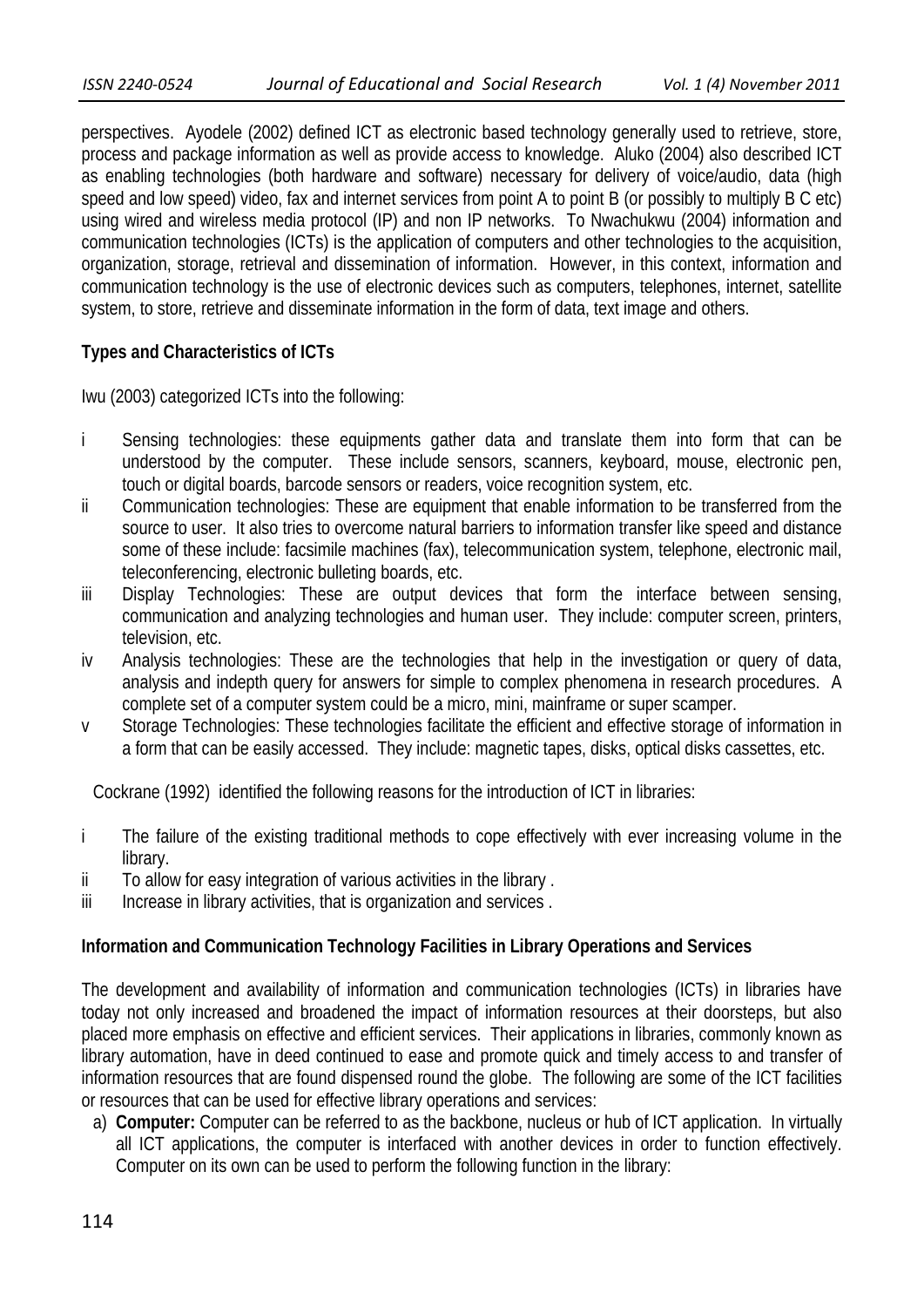perspectives. Ayodele (2002) defined ICT as electronic based technology generally used to retrieve, store, process and package information as well as provide access to knowledge. Aluko (2004) also described ICT as enabling technologies (both hardware and software) necessary for delivery of voice/audio, data (high speed and low speed) video, fax and internet services from point A to point B (or possibly to multiply B C etc) using wired and wireless media protocol (IP) and non IP networks. To Nwachukwu (2004) information and communication technologies (ICTs) is the application of computers and other technologies to the acquisition, organization, storage, retrieval and dissemination of information. However, in this context, information and communication technology is the use of electronic devices such as computers, telephones, internet, satellite system, to store, retrieve and disseminate information in the form of data, text image and others.

## **Types and Characteristics of ICTs**

Iwu (2003) categorized ICTs into the following:

- i Sensing technologies: these equipments gather data and translate them into form that can be understood by the computer. These include sensors, scanners, keyboard, mouse, electronic pen, touch or digital boards, barcode sensors or readers, voice recognition system, etc.
- ii Communication technologies: These are equipment that enable information to be transferred from the source to user. It also tries to overcome natural barriers to information transfer like speed and distance some of these include: facsimile machines (fax), telecommunication system, telephone, electronic mail, teleconferencing, electronic bulleting boards, etc.
- iii Display Technologies: These are output devices that form the interface between sensing, communication and analyzing technologies and human user. They include: computer screen, printers, television, etc.
- iv Analysis technologies: These are the technologies that help in the investigation or query of data, analysis and indepth query for answers for simple to complex phenomena in research procedures. A complete set of a computer system could be a micro, mini, mainframe or super scamper.
- v Storage Technologies: These technologies facilitate the efficient and effective storage of information in a form that can be easily accessed. They include: magnetic tapes, disks, optical disks cassettes, etc.

Cockrane (1992) identified the following reasons for the introduction of ICT in libraries:

- i The failure of the existing traditional methods to cope effectively with ever increasing volume in the library.
- ii To allow for easy integration of various activities in the library.
- iii Increase in library activities, that is organization and services.

## **Information and Communication Technology Facilities in Library Operations and Services**

The development and availability of information and communication technologies (ICTs) in libraries have today not only increased and broadened the impact of information resources at their doorsteps, but also placed more emphasis on effective and efficient services. Their applications in libraries, commonly known as library automation, have in deed continued to ease and promote quick and timely access to and transfer of information resources that are found dispensed round the globe. The following are some of the ICT facilities or resources that can be used for effective library operations and services:

a) **Computer:** Computer can be referred to as the backbone, nucleus or hub of ICT application. In virtually all ICT applications, the computer is interfaced with another devices in order to function effectively. Computer on its own can be used to perform the following function in the library: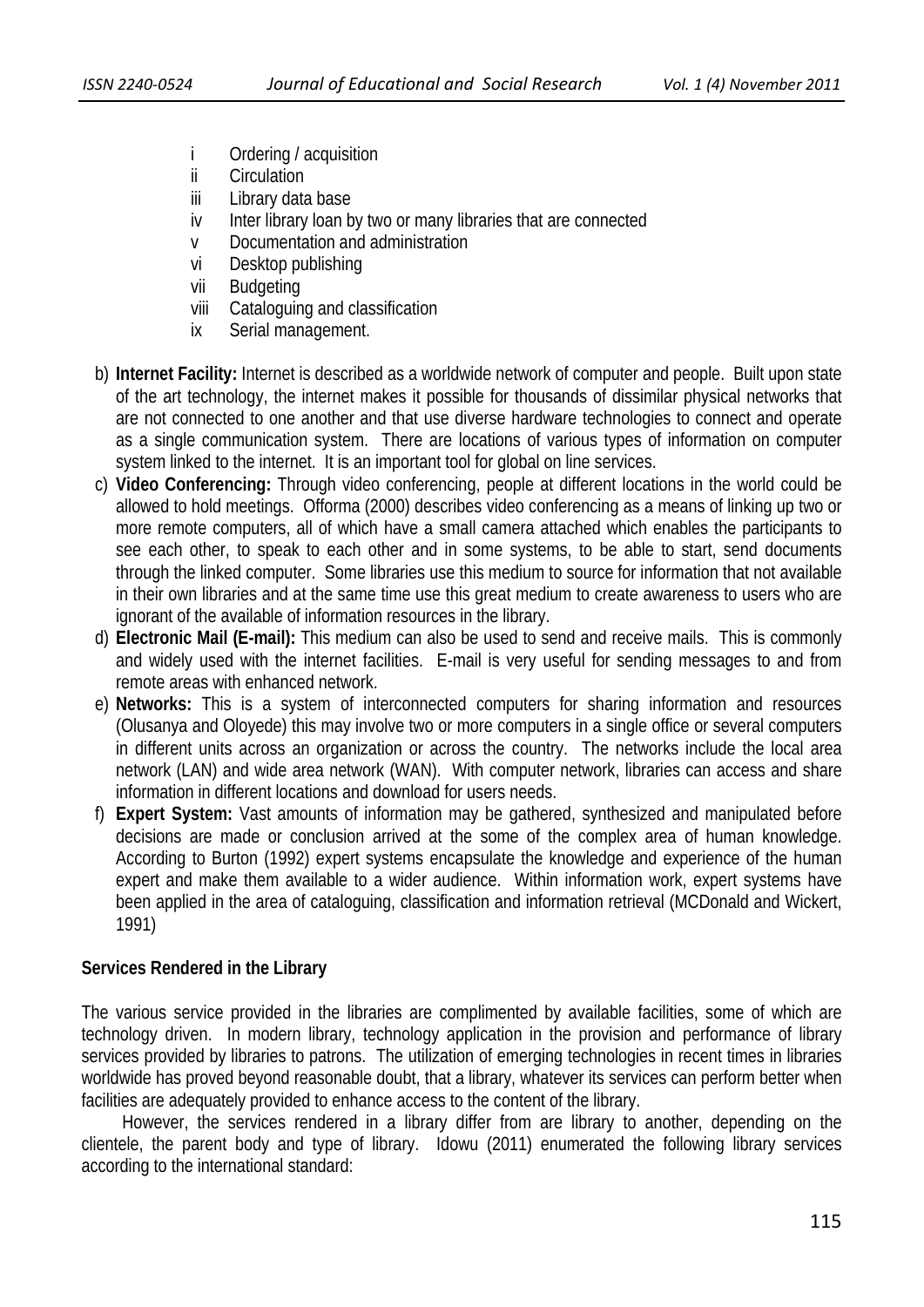- i Ordering / acquisition
- ii Circulation
- iii Library data base
- iv Inter library loan by two or many libraries that are connected
- v Documentation and administration
- vi Desktop publishing
- vii Budgeting
- viii Cataloguing and classification
- ix Serial management.
- b) **Internet Facility:** Internet is described as a worldwide network of computer and people. Built upon state of the art technology, the internet makes it possible for thousands of dissimilar physical networks that are not connected to one another and that use diverse hardware technologies to connect and operate as a single communication system. There are locations of various types of information on computer system linked to the internet. It is an important tool for global on line services.
- c) **Video Conferencing:** Through video conferencing, people at different locations in the world could be allowed to hold meetings. Offorma (2000) describes video conferencing as a means of linking up two or more remote computers, all of which have a small camera attached which enables the participants to see each other, to speak to each other and in some systems, to be able to start, send documents through the linked computer. Some libraries use this medium to source for information that not available in their own libraries and at the same time use this great medium to create awareness to users who are ignorant of the available of information resources in the library.
- d) **Electronic Mail (E-mail):** This medium can also be used to send and receive mails. This is commonly and widely used with the internet facilities. E-mail is very useful for sending messages to and from remote areas with enhanced network.
- e) **Networks:** This is a system of interconnected computers for sharing information and resources (Olusanya and Oloyede) this may involve two or more computers in a single office or several computers in different units across an organization or across the country. The networks include the local area network (LAN) and wide area network (WAN). With computer network, libraries can access and share information in different locations and download for users needs.
- f) **Expert System:** Vast amounts of information may be gathered, synthesized and manipulated before decisions are made or conclusion arrived at the some of the complex area of human knowledge. According to Burton (1992) expert systems encapsulate the knowledge and experience of the human expert and make them available to a wider audience. Within information work, expert systems have been applied in the area of cataloguing, classification and information retrieval (MCDonald and Wickert, 1991)

# **Services Rendered in the Library**

The various service provided in the libraries are complimented by available facilities, some of which are technology driven. In modern library, technology application in the provision and performance of library services provided by libraries to patrons. The utilization of emerging technologies in recent times in libraries worldwide has proved beyond reasonable doubt, that a library, whatever its services can perform better when facilities are adequately provided to enhance access to the content of the library.

 However, the services rendered in a library differ from are library to another, depending on the clientele, the parent body and type of library. Idowu (2011) enumerated the following library services according to the international standard: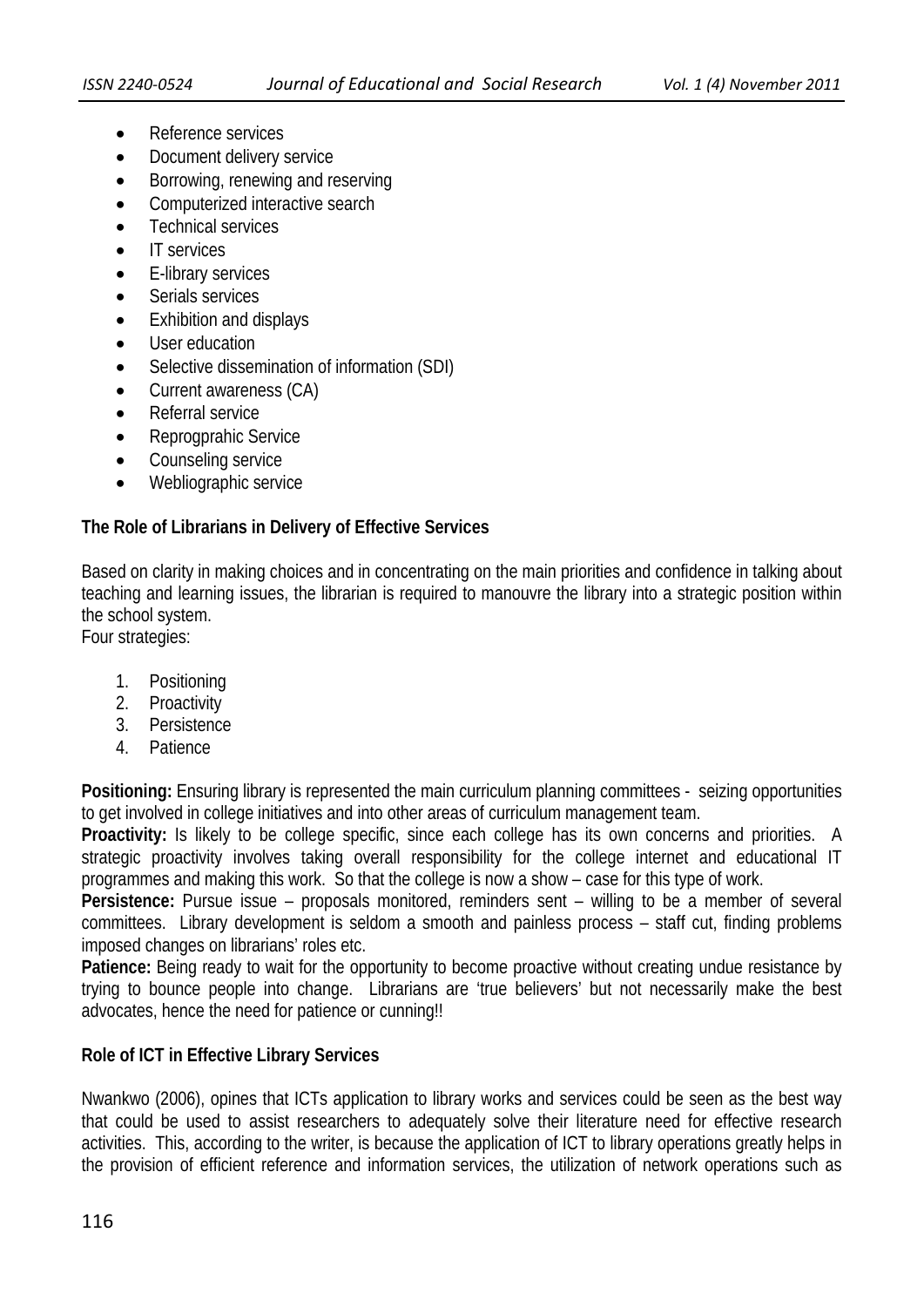- Reference services
- Document delivery service
- Borrowing, renewing and reserving
- Computerized interactive search
- Technical services
- IT services
- E-library services
- Serials services
- Exhibition and displays
- User education
- Selective dissemination of information (SDI)
- Current awareness (CA)
- Referral service
- Reprogprahic Service
- Counseling service
- Webliographic service

## **The Role of Librarians in Delivery of Effective Services**

Based on clarity in making choices and in concentrating on the main priorities and confidence in talking about teaching and learning issues, the librarian is required to manouvre the library into a strategic position within the school system.

Four strategies:

- 1. Positioning
- 2. Proactivity
- 3. Persistence
- 4. Patience

**Positioning:** Ensuring library is represented the main curriculum planning committees - seizing opportunities to get involved in college initiatives and into other areas of curriculum management team.

**Proactivity:** Is likely to be college specific, since each college has its own concerns and priorities. A strategic proactivity involves taking overall responsibility for the college internet and educational IT programmes and making this work. So that the college is now a show – case for this type of work.

**Persistence:** Pursue issue – proposals monitored, reminders sent – willing to be a member of several committees. Library development is seldom a smooth and painless process – staff cut, finding problems imposed changes on librarians' roles etc.

**Patience:** Being ready to wait for the opportunity to become proactive without creating undue resistance by trying to bounce people into change. Librarians are 'true believers' but not necessarily make the best advocates, hence the need for patience or cunning!!

## **Role of ICT in Effective Library Services**

Nwankwo (2006), opines that ICTs application to library works and services could be seen as the best way that could be used to assist researchers to adequately solve their literature need for effective research activities. This, according to the writer, is because the application of ICT to library operations greatly helps in the provision of efficient reference and information services, the utilization of network operations such as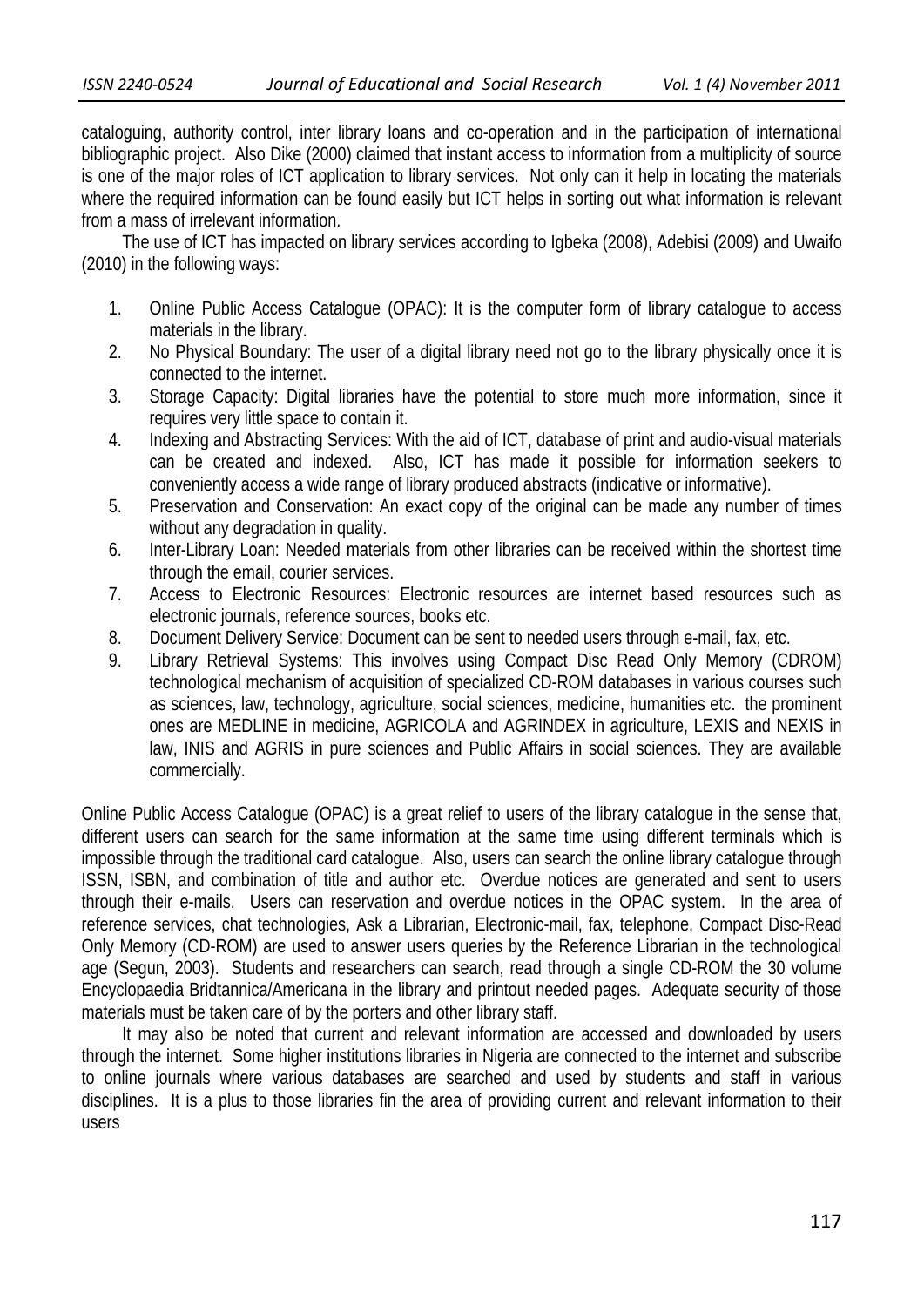cataloguing, authority control, inter library loans and co-operation and in the participation of international bibliographic project. Also Dike (2000) claimed that instant access to information from a multiplicity of source is one of the major roles of ICT application to library services. Not only can it help in locating the materials where the required information can be found easily but ICT helps in sorting out what information is relevant from a mass of irrelevant information.

 The use of ICT has impacted on library services according to Igbeka (2008), Adebisi (2009) and Uwaifo (2010) in the following ways:

- 1. Online Public Access Catalogue (OPAC): It is the computer form of library catalogue to access materials in the library.
- 2. No Physical Boundary: The user of a digital library need not go to the library physically once it is connected to the internet.
- 3. Storage Capacity: Digital libraries have the potential to store much more information, since it requires very little space to contain it.
- 4. Indexing and Abstracting Services: With the aid of ICT, database of print and audio-visual materials can be created and indexed. Also, ICT has made it possible for information seekers to conveniently access a wide range of library produced abstracts (indicative or informative).
- 5. Preservation and Conservation: An exact copy of the original can be made any number of times without any degradation in quality.
- 6. Inter-Library Loan: Needed materials from other libraries can be received within the shortest time through the email, courier services.
- 7. Access to Electronic Resources: Electronic resources are internet based resources such as electronic journals, reference sources, books etc.
- 8. Document Delivery Service: Document can be sent to needed users through e-mail, fax, etc.
- 9. Library Retrieval Systems: This involves using Compact Disc Read Only Memory (CDROM) technological mechanism of acquisition of specialized CD-ROM databases in various courses such as sciences, law, technology, agriculture, social sciences, medicine, humanities etc. the prominent ones are MEDLINE in medicine, AGRICOLA and AGRINDEX in agriculture, LEXIS and NEXIS in law, INIS and AGRIS in pure sciences and Public Affairs in social sciences. They are available commercially.

Online Public Access Catalogue (OPAC) is a great relief to users of the library catalogue in the sense that, different users can search for the same information at the same time using different terminals which is impossible through the traditional card catalogue. Also, users can search the online library catalogue through ISSN, ISBN, and combination of title and author etc. Overdue notices are generated and sent to users through their e-mails. Users can reservation and overdue notices in the OPAC system. In the area of reference services, chat technologies, Ask a Librarian, Electronic-mail, fax, telephone, Compact Disc-Read Only Memory (CD-ROM) are used to answer users queries by the Reference Librarian in the technological age (Segun, 2003). Students and researchers can search, read through a single CD-ROM the 30 volume Encyclopaedia Bridtannica/Americana in the library and printout needed pages. Adequate security of those materials must be taken care of by the porters and other library staff.

 It may also be noted that current and relevant information are accessed and downloaded by users through the internet. Some higher institutions libraries in Nigeria are connected to the internet and subscribe to online journals where various databases are searched and used by students and staff in various disciplines. It is a plus to those libraries fin the area of providing current and relevant information to their users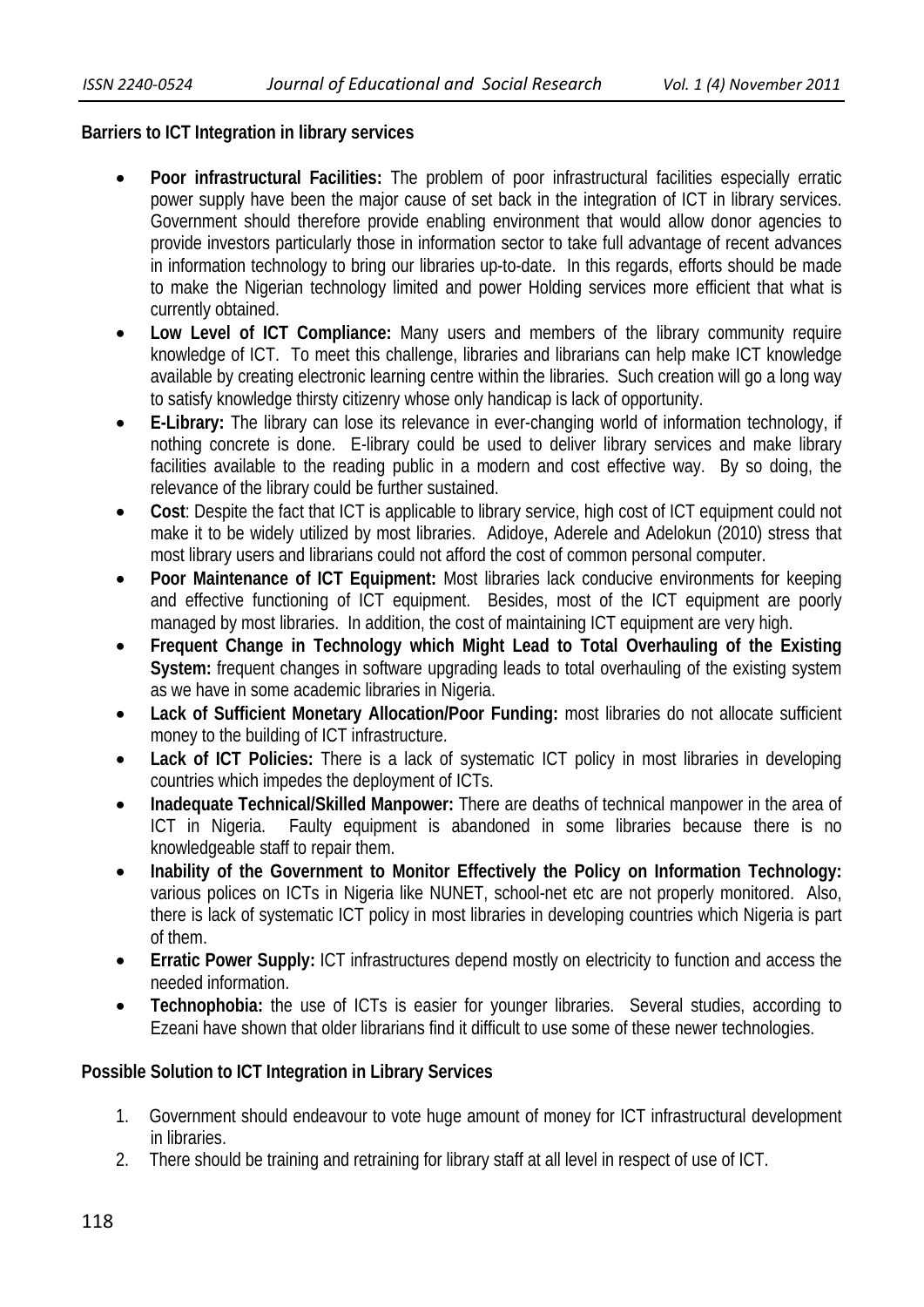## **Barriers to ICT Integration in library services**

- **Poor infrastructural Facilities:** The problem of poor infrastructural facilities especially erratic power supply have been the major cause of set back in the integration of ICT in library services. Government should therefore provide enabling environment that would allow donor agencies to provide investors particularly those in information sector to take full advantage of recent advances in information technology to bring our libraries up-to-date. In this regards, efforts should be made to make the Nigerian technology limited and power Holding services more efficient that what is currently obtained.
- **Low Level of ICT Compliance:** Many users and members of the library community require knowledge of ICT. To meet this challenge, libraries and librarians can help make ICT knowledge available by creating electronic learning centre within the libraries. Such creation will go a long way to satisfy knowledge thirsty citizenry whose only handicap is lack of opportunity.
- **E-Library:** The library can lose its relevance in ever-changing world of information technology, if nothing concrete is done. E-library could be used to deliver library services and make library facilities available to the reading public in a modern and cost effective way. By so doing, the relevance of the library could be further sustained.
- **Cost**: Despite the fact that ICT is applicable to library service, high cost of ICT equipment could not make it to be widely utilized by most libraries. Adidoye, Aderele and Adelokun (2010) stress that most library users and librarians could not afford the cost of common personal computer.
- **Poor Maintenance of ICT Equipment:** Most libraries lack conducive environments for keeping and effective functioning of ICT equipment. Besides, most of the ICT equipment are poorly managed by most libraries. In addition, the cost of maintaining ICT equipment are very high.
- **Frequent Change in Technology which Might Lead to Total Overhauling of the Existing System:** frequent changes in software upgrading leads to total overhauling of the existing system as we have in some academic libraries in Nigeria.
- **Lack of Sufficient Monetary Allocation/Poor Funding:** most libraries do not allocate sufficient money to the building of ICT infrastructure.
- **Lack of ICT Policies:** There is a lack of systematic ICT policy in most libraries in developing countries which impedes the deployment of ICTs.
- **Inadequate Technical/Skilled Manpower:** There are deaths of technical manpower in the area of ICT in Nigeria. Faulty equipment is abandoned in some libraries because there is no knowledgeable staff to repair them.
- **Inability of the Government to Monitor Effectively the Policy on Information Technology:** various polices on ICTs in Nigeria like NUNET, school-net etc are not properly monitored. Also, there is lack of systematic ICT policy in most libraries in developing countries which Nigeria is part of them.
- **Erratic Power Supply:** ICT infrastructures depend mostly on electricity to function and access the needed information.
- **Technophobia:** the use of ICTs is easier for younger libraries. Several studies, according to Ezeani have shown that older librarians find it difficult to use some of these newer technologies.

# **Possible Solution to ICT Integration in Library Services**

- 1. Government should endeavour to vote huge amount of money for ICT infrastructural development in libraries.
- 2. There should be training and retraining for library staff at all level in respect of use of ICT.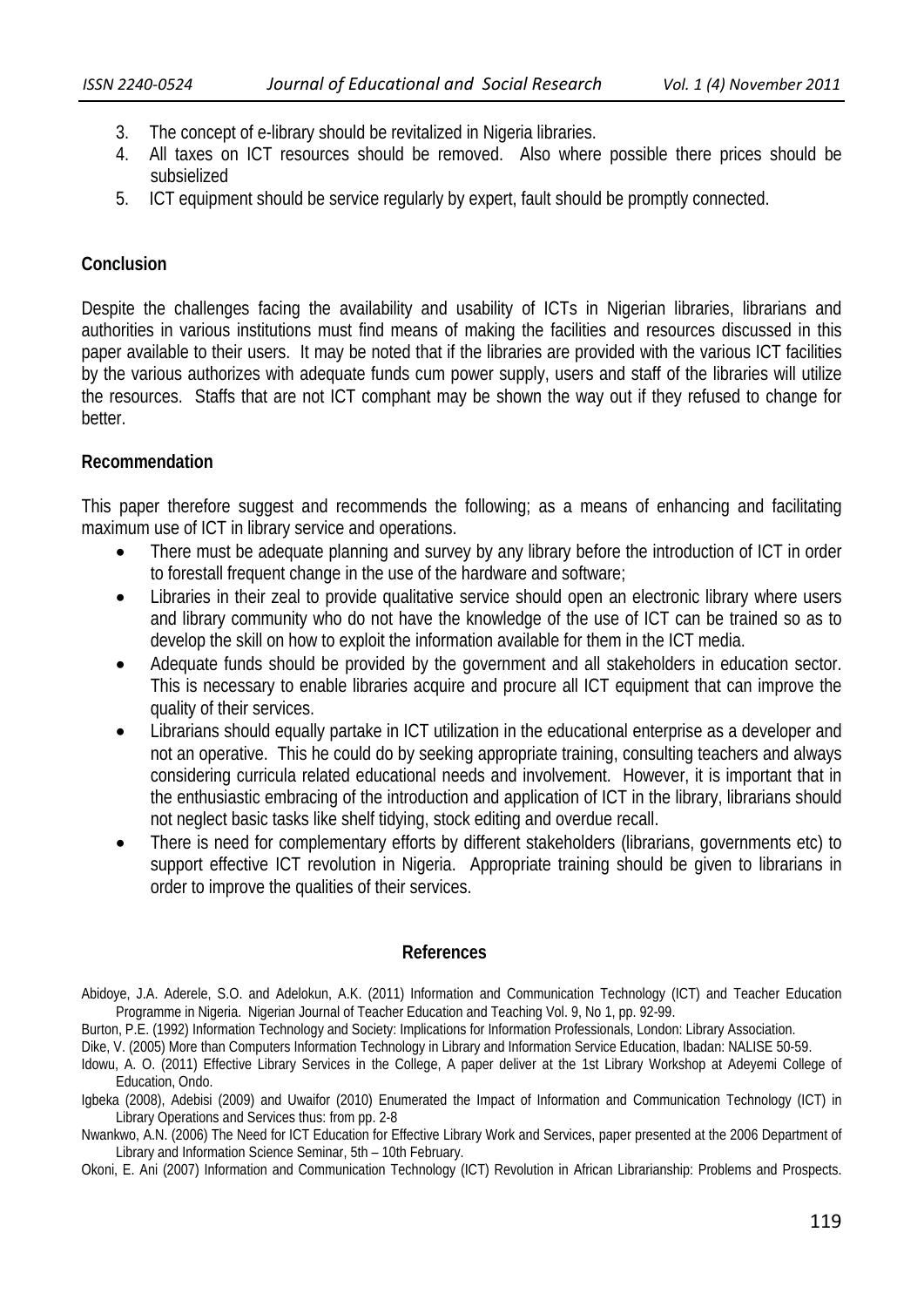- 3. The concept of e-library should be revitalized in Nigeria libraries.
- 4. All taxes on ICT resources should be removed. Also where possible there prices should be subsielized
- 5. ICT equipment should be service regularly by expert, fault should be promptly connected.

## **Conclusion**

Despite the challenges facing the availability and usability of ICTs in Nigerian libraries, librarians and authorities in various institutions must find means of making the facilities and resources discussed in this paper available to their users. It may be noted that if the libraries are provided with the various ICT facilities by the various authorizes with adequate funds cum power supply, users and staff of the libraries will utilize the resources. Staffs that are not ICT comphant may be shown the way out if they refused to change for better.

## **Recommendation**

This paper therefore suggest and recommends the following; as a means of enhancing and facilitating maximum use of ICT in library service and operations.

- There must be adequate planning and survey by any library before the introduction of ICT in order to forestall frequent change in the use of the hardware and software;
- Libraries in their zeal to provide qualitative service should open an electronic library where users and library community who do not have the knowledge of the use of ICT can be trained so as to develop the skill on how to exploit the information available for them in the ICT media.
- Adequate funds should be provided by the government and all stakeholders in education sector. This is necessary to enable libraries acquire and procure all ICT equipment that can improve the quality of their services.
- Librarians should equally partake in ICT utilization in the educational enterprise as a developer and not an operative. This he could do by seeking appropriate training, consulting teachers and always considering curricula related educational needs and involvement. However, it is important that in the enthusiastic embracing of the introduction and application of ICT in the library, librarians should not neglect basic tasks like shelf tidying, stock editing and overdue recall.
- There is need for complementary efforts by different stakeholders (librarians, governments etc) to support effective ICT revolution in Nigeria. Appropriate training should be given to librarians in order to improve the qualities of their services.

## **References**

Dike, V. (2005) More than Computers Information Technology in Library and Information Service Education, Ibadan: NALISE 50-59.

Abidoye, J.A. Aderele, S.O. and Adelokun, A.K. (2011) Information and Communication Technology (ICT) and Teacher Education Programme in Nigeria. Nigerian Journal of Teacher Education and Teaching Vol. 9, No 1, pp. 92-99.

Burton, P.E. (1992) Information Technology and Society: Implications for Information Professionals, London: Library Association.

Idowu, A. O. (2011) Effective Library Services in the College, A paper deliver at the 1st Library Workshop at Adeyemi College of Education, Ondo.

Igbeka (2008), Adebisi (2009) and Uwaifor (2010) Enumerated the Impact of Information and Communication Technology (ICT) in Library Operations and Services thus: from pp. 2-8

Nwankwo, A.N. (2006) The Need for ICT Education for Effective Library Work and Services, paper presented at the 2006 Department of Library and Information Science Seminar, 5th – 10th February.

Okoni, E. Ani (2007) Information and Communication Technology (ICT) Revolution in African Librarianship: Problems and Prospects.